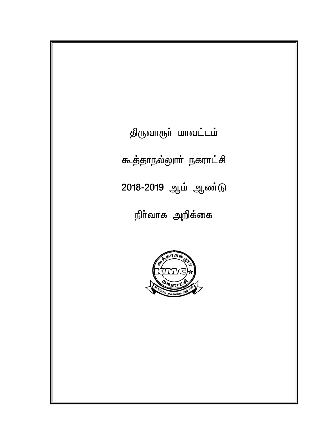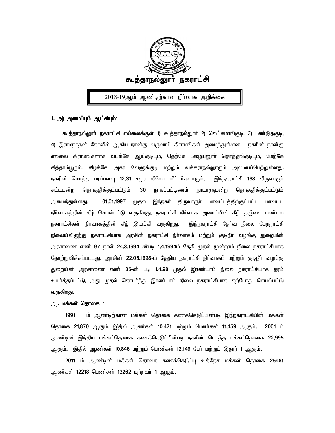

2018-19ஆம் ஆண்டிற்கான நிா்வாக அறிக்கை

### *1. m) mikg;g[k; Ml;rpa[k;: m) mikg;g[k; Ml;rpa[k;:*

கூத்தாநல்லுாா் நகராட்சி எல்லைக்குள் 1) கூத்தாநல்லுாா் 2) லெட்சுமாங்குடி, 3) பண்டுதகுடி, 4) இராமநாதன் கோவில் ஆகிய நான்கு வருவாய் கிராமங்கள் அமை<u>ந்து</u>ள்ளன. நகரின் நான்கு எல்லை கிராமங்களாக வடக்கே ஆய்குடியும், தெற்கே பழையனுாா் தொத்தங்குடியும், மேற்கே சித்தாம்பூரும், கிழக்கே அகர வேளுக்குடி மற்றும் வக்கராநல்லூரும் அமையப்பெற்றுள்ள<u>து</u>. நகரின் மொத்த பரப்பளவு 12.31 சதுர கிலோ மீட்டா்களாகும். இந்நகராட்சி 168 திருவாரூா் சட்டமன்ற தொகுதிக்குட்பட்டும், 30 நாகப்பட்டிணம் நாடாளுமன்ற தொகுதிக்குட்பட்டும் அமை<u>ந்த</u>ுள்ளது**. 01.01.1997 முதல் இந்நகா் திருவாரூா் மாவட்டத்திற்குட்பட்ட மாவட்ட** .நிர்வாகத்தின் கீழ் செயல்பட்டு வருகிறது. நகராட்சி நிர்வாக அமைப்பின் கீழ் தஞ்சை மண்டல நகராட்சிகள் நிாவாகத்தின் கீழ் இயங்கி வருகிறது. இந்நகராட்சி தோவு நிலை பேரூராட்சி நிலையிலிருந்து நகராட்சியாக அரசின் நகராட்சி நிர்வாகம் மற்றும் குடிநீர் வழங்கு துறையின் அரசாணை எண் 97 நாள் 24**.3.1994 ன்படி 1.4.1994ம் தேதி முதல் முன்**றாம் நிலை நகராட்சியாக தோற்றுவிக்கப்படடது**.** அரசின் 22.05.1998-ம் தேதிய நகராட்சி நிா்வாகம் மற்றும் குடிநீா் வழங்கு துறையின் அரசாணை எண் 85-ன் படி 1.4.98 முதல் இரண்டாம் நிலை நகராட்சியாக தரம் உயா்த்தப்பட்டு, அது முதல் தொடா்ந்து இரண்டாம் நிலை நகராட்சியாக தற்போது செயல்பட்டு வருகிறது**.** 

#### <u>ஆ. மக்கள் தொகை :</u>

1991 – ம் ஆண்டிற்கான மக்கள் தொகை கணக்கெடுப்பின்படி <u>இந்ந</u>கராட்சியின் மக்கள் தொகை 21,870 ஆகும். இதில் ஆண்கள் 10,421 மற்றும் பெண்கள் 11,459 ஆகும். 2001 ம் ஆண்டின் இந்திய மக்கட்தொகை கணக்கெடுப்பின்படி நகரின் மொத்த மக்கட்தொகை 22,995 ஆகும்**. இதில் ஆண்கள் 10,846 மற்றும் பெண்கள் 12,149 போ் மற்றும் இதரர் 1 ஆகும்.** 

2011 ம் ஆண்டின் மக்கள் தொகை கணக்கெடுப்பு உத்தேச மக்கள் தொகை 25481 ஆண்கள் 12218 பெண்கள் 13262 மற்றவா் 1 ஆகும்**.**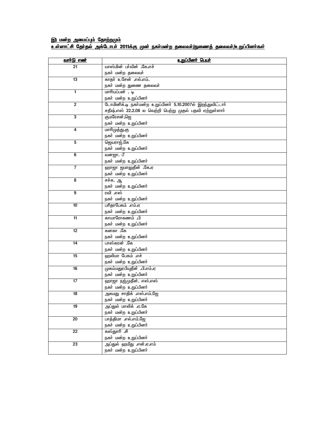# <u>இ) மன்ற அமைப்பும் தோற்றமும்</u> <u>உள்ளாட்சி தோதல் அக்டோபா் 2011க்கு முன் நகா்மன்ற தலைவா்/துணைத் தலைவா்/உறுப்பினா்கள்</u>

| <u>வாா்டு எண்</u>       | <u>உறுப்பினர் பெயர்</u>                                    |
|-------------------------|------------------------------------------------------------|
| 21                      | யாஸ்மின் பா்வீன் .கே.எச்                                   |
|                         | நகா் மன்ற தலைவா்                                           |
| 13                      | காதா் உசேன் எல்.எம்.                                       |
|                         | நகா் மன்ற துணை தலைவா்                                      |
| 1                       | மாரியப்பன் . டி                                            |
|                         | நகா் மன்ற உறுப்பினா்                                       |
| $\overline{2}$          | டோமினிக்.டி நகர்மன்ற உறுப்பினர் 5.10.2007ல் இறந்துவிட்டார் |
|                         | சதீஷ்.எஸ் 22.2.08 ல வெற்றி பெற்று முதல் பதவி ஏற்றுள்ளாா்   |
| 3                       | குமரேசன்.ஜெ                                                |
|                         | நகா் மன்ற உறுப்பினா்                                       |
| 4                       | மாரிமுத்து.கு                                              |
|                         | நகா் மன்ற உறுப்பினா்                                       |
| $\overline{5}$          | ஜெயராஜ்.கே                                                 |
|                         | நகா் மன்ற உறுப்பினா்                                       |
| 6                       | வனஜா. பீ                                                   |
|                         | நகா் மன்ற உறுப்பினா்                                       |
| 7                       | <u>ஹாஜா ஜமாலுதீன் .கே.ஏ</u>                                |
| $\overline{\mathbf{8}}$ | நகா் மன்ற உறுப்பினா்                                       |
|                         | சச்சு. ஆ<br>நகா் மன்ற உறுப்பினா்                           |
| 9                       | ரவி .எஸ்                                                   |
|                         | நகா் மன்ற உறுப்பினா்                                       |
| 10                      | பரிதாபேகம் .எம்.ஏ                                          |
|                         | நகா் மன்ற உறுப்பினா்                                       |
| 11                      | காயாரோகணம் .பி                                             |
|                         | நகா் மன்ற உறுப்பினா்                                       |
| 12                      | கனகா .கே                                                   |
|                         | நகா் மன்ற உறுப்பினா்                                       |
| 14                      | பாஸ்கரன் .கே                                               |
|                         | நகா் மன்ற உறுப்பினா்                                       |
| 15                      | ஹலிமா பேகம் .எச்                                           |
|                         | நகா் மன்ற உறுப்பினா்                                       |
| 16                      | முகம்மதுரபியுதீன் .பி.எம்.ஏ                                |
|                         | நகா் மன்ற உறுப்பினா்                                       |
| 17                      | ஹாஜா நஜ்முதீன். எஸ்.எஸ்                                    |
|                         | நகா் மன்ற உறுப்பினா்                                       |
| 18                      | அகமது சாதிக் .எஸ்.எம்.ஜே                                   |
|                         | நகா் மன்ற உறுப்பினா்                                       |
| 19                      | அப்துல் மாலிக் .ஏ.கே                                       |
|                         | நகா் மன்ற உறுப்பினா்                                       |
| 20                      | பாத்திமா எல்.எம்.ஜே                                        |
|                         | நகா் மன்ற உறுப்பினா்                                       |
| $\overline{22}$         | கஸ்துாரி .சி                                               |
|                         | நகா் மன்ற உறுப்பினா்<br>அப்துல் ஹமீது .என்.ஏ.எம்           |
| 23                      | நகா் மன்ற உறுப்பினா்                                       |
|                         |                                                            |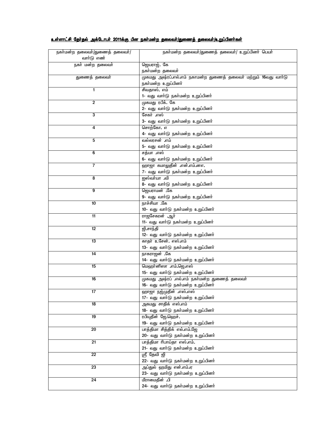### <u>உள்ளாட்சி தேர்தல் அக்டோபர் 2011க்கு பின நகர்மன்ற தலைவர்/துணைத் தலைவர்/உறுப்பினர்கள்</u>

| நகா்மன்ற தலைவா்/துணைத் தலைவா்/ | நகா்மன்ற தலைவா்/துணைத் தலைவா்/ உறுப்பினா் பெயா்                  |
|--------------------------------|------------------------------------------------------------------|
| வாா்டு எண்                     |                                                                  |
| நகா் மன்ற தலைவா்               | ஜெயராஜ். கே                                                      |
|                                | நகா்மன்ற தலைவா்                                                  |
| துணைத் தலைவா்                  | முகமது அஷ்ரப்.எல்.எம் நகாமன்ற துணைத் தலைவா் மற்றும் 16வது வாா்டு |
|                                | நகா்மன்ற உறுப்பினா்                                              |
| 1                              | சிவதாஸ். எம்                                                     |
|                                | 1- வது வாா்டு நகா்மன்ற உறுப்பினா்                                |
| $\overline{2}$                 | முகமது ரபீக். கே                                                 |
|                                | 2- வது வாா்டு நகா்மன்ற உறுப்பினா்                                |
| 3                              | சேகா் .எஸ்                                                       |
|                                | 3- வது வாா்டு நகா்மன்ற உறுப்பினா்                                |
| 4                              | சொற்கோ. எ                                                        |
|                                | 4- வது வாா்டு நகா்மன்ற உறுப்பினா்                                |
| 5                              | வல்லரசன் .எம்                                                    |
|                                | 5- வது வாா்டு நகா்மன்ற உறுப்பினா்                                |
| 6                              | சத்யா எஸ்                                                        |
|                                | 6- வது வாா்டு நகா்மன்ற உறுப்பினா்                                |
| $\overline{7}$                 | ஹாஜா கமாலுதீன் .என்.எம்.னஎ.                                      |
|                                | 7- வது வாா்டு நகா்மன்ற உறுப்பினா்                                |
| 8                              | ஐஸ்வா்யா .வி                                                     |
|                                | 8- வது வாா்டு நகா்மன்ற உறுப்பினா்                                |
| 9                              | தெயராமன் .கே                                                     |
|                                | 9- வது வாா்டு நகா்மன்ற உறுப்பினா்                                |
| 10                             | நாச்சியா .கே                                                     |
|                                | 10- வது வாா்டு நகா்மன்ற உறுப்பினா்                               |
| 11                             | ராஜசேகரன் .ஆர்                                                   |
|                                | 11- வது வாா்டு நகா்மன்ற உறுப்பினா்                               |
| 12                             | ஜி.சாந்தி                                                        |
|                                | 12- வது வாா்டு நகா்மன்ற உறுப்பினா்                               |
| 13                             | காதா் உசேன். எஸ்.எம்                                             |
| $\overline{14}$                | 13- வது வாா்டு நகா்மன்ற உறுப்பினா்                               |
|                                | நாகராஜன் .கே<br>14- வது வாா்டு நகா்மன்ற உறுப்பினா்               |
| 15                             | மெஹா்னிஸா .எம்.ஜெ.எஸ்                                            |
|                                | 15- வது வாா்டு நகா்மன்ற உறுப்பினா்                               |
| 16                             | முகமது அஷ்ரப் .எல்.எம் நகா்மன்ற துணைத் தலைவா்                    |
|                                | 16- வது வாா்டு நகா்மன்ற உறுப்பினா்                               |
| 17                             | ஹாஜா நஜ்முதீன் .எஸ்.எஸ்                                          |
|                                | 17- வது வாா்டு நகா்மன்ற உறுப்பினா்                               |
| 18                             | அகமது சாதிக் எஸ்.எம்                                             |
|                                | 18- வது வாா்டு நகா்மன்ற உறுப்பினா்                               |
| 19                             | ரபியுதீன் ஜே.ஹெச்.                                               |
|                                | 19- வது வாா்டு நகா்மன்ற உறுப்பினா்                               |
| 20                             | பாத்திமா சித்திக் எல்.எம்.ஜே                                     |
|                                | 20- வது வாா்டு நகா்மன்ற உறுப்பினா்                               |
| 21                             | பாத்திமா ரிபாய்தா எஸ்.எம்.                                       |
|                                | 21- வது வாா்டு நகா்மன்ற உறுப்பினா்                               |
| 22                             | ஸ்ரீ தேவி ஜி                                                     |
|                                | 22- வது வாா்டு நகா்மன்ற உறுப்பினா்                               |
| 23                             | அப்துல் ஹமிது என்.எம்.ஏ                                          |
|                                | 23- வது வாா்டு நகா்மன்ற உறுப்பினா்                               |
| 24                             | மீராமைதீன் <b>.</b> பி                                           |
|                                | 24- வது வாா்டு நகா்மன்ற உறுப்பினா்                               |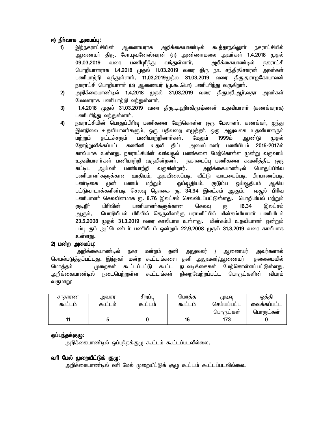# *N)eph ;thf mikg;g[: thf mikg;g[: thf mikg;g[:*

- 1) இந்நகராட்சியின் ஆணையராக அறிக்கையாண்டில் கூத்தாநல்லுாா் நகராட்சியில் ஆணையா் திரு. சோ.புவனேஸ்வரன் (எ) அண்ணாமலை அவா்கள் 1.4.2018 முதல் 09.03.2019 வரை பணிபுரிந்து வந்துள்ளார். அறிக்கையாண்டில் நகராட்சி பொறியாளராக 1.4.2018 முதல் 11.03.2019 வரை திரு நா. சந்திரசேகரன் அவா்கள் பணியாற்றி வந்துள்ளாா். 11.03.2019முத்ல 31.03.2019 வரை திரு.த.ராஜகோபாலன் நகராட்சி பொறியாளா் (ம) ஆணையர் (மு**.**கூ.பொ) பணிபுாிந்து வருகிறாா்.
- 2) அறிக்கையாண்டில் 1.4.2018 முதல் 31.03.2019 வரை திருமதி.ஆா்.லதா அவா்கள் *Bkysuhf gzpahw;wp te;Js;shh;.*
- 3) 1.4.2018 முதல் 31.03.2019 வரை திரு.டி.ஹிரகிருஷ்ணன் உதவியாளா் (கணக்கராக) *gzpg[hpe;J te;Js;shh;.*
- 4) நகராட்சியின் பொதுப்பிரிவு பணிகளை மேற்கொள்ள ஒரு மேலாளா், கணக்கா், <u>ஐந்து</u> இளநிலை உதவியாளா்களும், ஒரு பதிவறை எழுத்தா், ஒரு <u>அலு</u>வலக உதவியாளரும் மற்றும் தட்டச்சரும் பணியாற்றினாா்கள். மேலும் 1999ம் ஆண்டு முதல் தோற்றுவிக்கப்பட்ட கணினி உதவி திட்ட அமைப்பாளர் பணியிடம் 2016-2017ல் காலியாக உள்ளது. நகராட்சியின் வரிவதூல் பணிகளை மேற்கொள்ள மூன்று வருவாய் உதவியாளா்கள் பணியாற்றி வருகின்றனா்**.** நகரமைப்பு பணிகளை கவனித்திட ஒரு கட்டிட ஆய்வா் பணியாற்றி வருகின்றார்**.** அறிக்கையாண்டில் <u>பொதுப்பிாிவு</u> பணியாளா்களுக்கான ஊதியம், அகவிலைப்படி, வீட்டு வாடகைப்படி, பிரயாணப்படி,<br>பண்டிகை முன் பணம் மற்றும் ஒய்வூதியம், குடும்ப ஒய்வூதியம் அ.கிய பண்டிகை முன் பணம் மற்றும் ஓய்வூதியம், குடும்ப ஓய்வூதியம் ஆகிய பட்டுவாடாக்களின்படி செலவு தொகை ரு. 34.94 இலட்சம் ஆகும். வதூல் பிரிவு பணியாளா் செலவினமாக ரு. 8.76 இலட்சம் செலவிடப்பட்டுள்ளது. பொறியியல் மற்றும் குடிநீா் பிாிவின் பணியாளா்களுக்கான செலவு ரு <mark>16.34</mark> இலட்சம்<br>ஆகும்**.** பொறியியல் பிாிவில் தெருவிளக்கு பராமாிப்பில் மின்கம்பியாளா் பணியிடம் *MFk;. bghwpapay; gphptpy; bjUtpsf;F guhkhpg;gpy; kpd;fk;gpahsh; gzpaplk;*  23.5.2008 முதல் 31.3.2019 வரை காலியாக உள்ளது. மின்கம்பி உதவியாளர் ஒன்றும் பம்பு ரும் அட்டெண்டர் பணியிடம் ஒன்றும் 22.9.2008 முதல் 31.3.2019 வரை காலியாக உள்ளகு.

# *2) kd;w mikg;g[: 2) kd;w mikg;g[:*

 *mwpf;ifahz;oy; efu kd;wk; jdp mYtyu; / Mizau; mtu;fshy;*  செயல்படுத்தப்பட்டது. இந்நகா் மன்ற கூட்டங்களை தனி அலுவலா்/ஆணையா் தலைமையில் *bkhj;jk; Kiwfs; Tl;lg;gl;L Tl;l eltof;iffs; Bkw;bfhs;sg;gl;Ls;sJ.*  அறிக்கையாண்டில் நடைபெற்றுள்ள கூட்டங்கள் நிறைவேற்றப்பட்ட பொருட்களின் விபரம் வருமாறு:

| சாதாரண<br>கூடடம | அவசர<br>கூடடம | சிறபபு<br>கூடடம | பொக்க<br>கூடடம | (முடிவு<br>செய்யப்பட்ட | ஒதது<br>வைக்கப்பட்ட |
|-----------------|---------------|-----------------|----------------|------------------------|---------------------|
|                 |               |                 |                | பொருட்கள்              | பொருட்கள்           |
|                 |               |                 | 16             | 173                    |                     |

# **ஒப்பந்தக்குழு:**

அறிக்கையாண்டில் ஒப்பந்தக்குழு கூட்டம் கூட்டப்படவில்லை**.** 

# வரி மேல் முறையீட்டுக் குழு:

அறிக்கையாண்டில் வரி மேல் முறையீட்டுக் குழு கூட்டம் கூட்டப்படவில்லை**.**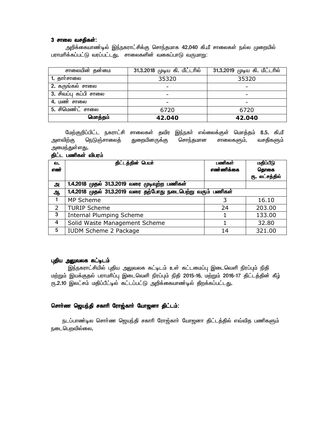### *3 rhiy trjpfs;: 3 rhiy trjpfs;: rhiy trjpfs;:*

அறிக்கையாண்டில் இந்நகராட்சிக்கு சொந்தமாக 42.040 கி.மீ சாலைகள் நல்ல முறையில் பராமரிக்கப்பட்டு வரப்பட்டது. சாலைகளின் வகைப்பாடு வருமாறு:

| சாலையின் தன்மை        | 31.3.2018 முடிய கி. மீட்டாில் | 31.3.2019 முடிய கி. மீட்டரில் |
|-----------------------|-------------------------------|-------------------------------|
| 1. தாா்சாலை           | 35320                         | 35320                         |
| 2. கருங்கல் சாலை      |                               |                               |
| 3. சிவப்பு கப்பி சாலை |                               |                               |
| 4. மண் சாலை           |                               |                               |
| 5. சிமெண்ட் சாலை      | 6720                          | 6720                          |
| மொத்தம்               | 42.040                        | 42.040                        |

மேற்குறிப்பிட்ட நகராட்சி சாலைகள் தவிர இந்நகர் எல்லைக்குள் மொத்தம் 8**.5.** கி.மீ அளவிற்கு நெடுஞ்சாலைத் துறையினருக்கு சொந்தமான சாலைகளும், வசதிகளும் அமைந்துள்ளது.

#### திட்ட பணிகள் விபரம்

| வ.  | திட்டத்தின் பெயர்                                           | பணிகள்    | மதிப்பீடு      |
|-----|-------------------------------------------------------------|-----------|----------------|
| எண் |                                                             | எண்ணிக்கை | தொகை           |
|     |                                                             |           | ரு. லட்சத்தில் |
| அ   | 1.4.2018 முதல் 31.3.2019 வரை முடிவுற்ற பணிகள்               |           |                |
| ஆ   | 1.4.2018 முதல் 31.3.2019 வரை தற்போது நடைபெற்று வரும் பணிகள் |           |                |
| 1   | MP Scheme                                                   | 3         | 16.10          |
| 2   | <b>TURIP Scheme</b>                                         | 24        | 203.00         |
| 3   | <b>Internal Plumping Scheme</b>                             |           | 133.00         |
| 4   | Solid Waste Management Scheme                               |           | 32.80          |
| 5   | IUDM Scheme 2 Package                                       | 14        | 321.00         |

#### *g[jpa mYtyf fl;olk; mYtyf fl;olk;*

இந்நகராட்சியில் புதிய அலுவலக கட்டிடம் உள் கட்டமைப்பு இடைவெளி நிரப்பும் நிதி மற்றும் இயக்குதல் பராமரிப்பு இடைவெளி நிரப்பும் நிதி 2015-16, மற்றும் 2016-17 திட்டத்தின் கீழ் ரு.2.10 இலட்சம் மதிப்பீட்டில் கட்டப்பட்டு அறிக்கையாண்டில் திறக்கப்பட்டது**.** 

### சொா்ண ஜெயந்தி சகாாி ரோஜ்காா் யோஜனா திட்டம்:

நடப்பாண்டில சொா்ண ஜெயந்தி சகாாி ரோஜ்காா் யோஜனா திட்டத்தில் எவ்வித பணிகளும் நடைபெறவில்லை.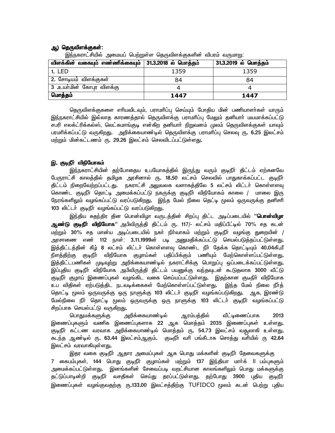# ஆ) தெருவிளக்குகள்:

| <u>ພ</u> ~~ ′<br>⇁<br>விளக்கின் வகையும் எண்ணிக்கையும் | 31.3.2018 ல் மொத்தம் | 31.3.2019 ல் மொத்தம் |
|-------------------------------------------------------|----------------------|----------------------|
| <b>1. LED</b>                                         | 1359                 | 1359                 |
| ் 2. சோடியம் விளக்குகள்                               | 84                   | 84                   |
| 3 .உயா்மின் கோபுர விளக்கு                             |                      |                      |
| மொத்தம்                                               | 1447                 | 1447                 |

இந்நகராட்சியில் அமையப் பெற்றுள்ள தெருவிளக்குகளின் விபரம் வருமாறு;

தெருவிளக்குகளை எாியவிடவும், பராமாிப்பு செய்யும் போதிய மின் பணியாளா்கள் யாரும் இந்நகராட்சியில் இல்லாத காரணத்தால் தெருவிளக்கு பராமரிப்பு மேலும் தனியாா் மயமாக்கப்பட்டு சபரி எலக்ட்ரிக்கல்ஸ், லெட்சுமாங்குடி என்கிற தனியாா் நிறுவனம் முலம் தெருவிளக்குகள் யாவும் பரமரிக்கப்பட்டு வருகிறது**.** அறிக்கையாண்டில் தெருவிளக்கு பராமரிப்பு செலவு ரூ. **6.25 இலட்ச**ம் மற்றும் மின்கட்டணம் ர<mark>ு. 29.26</mark> இலட்சம் செலவிடப்பட்டுள்ளது**.** 

# *n. FoePh; tpepBahfk; FoePh; tpepBahfk;*

இந்நகராட்சியின் தற்போதைய உபயோகத்தில் இருந்து வரும் குடிநீா் திட்டம் ஏற்கனவே பேருராட்சி காலத்தில் தமிழக அரசினால் ர<mark>ு. 18.50</mark> லட்சம் செலவில் பாதுகாக்கப்பட்ட குடிநீா் திட்டம் நிறைவேற்றப்பட்டது**.** நகராட்சி அலுவலக வளாகத்திலே 5 லட்சம் லிட்டா் கொள்ளளவு கொண்ட குடிநீா் தொட்டி அமைக்கப்பட்டு நகருக்கு குடிநீா் விநியோகம் காலை / மாலை இரு நேரங்களிலும் வழங்கப்பட்டு வரப்படுகிறது. இந்த மேல் நிலை தெட்டி முலம் ஒருவருக்கு தனிசரி 103 லிட்டர் குடிநீர் வழங்கப்பட்டு வரப்படுகிறது**.** 

இந்திய சுதந்திர தின பொன்விழா வருடத்தின் சிறப்பு திட்ட அடிப்படையில் '**'பொன்விழா ஆண்டு குடிநீா் விநியோக'**' அபிவிருத்தி திட்டம் ரு. 117/- லட்சம் மதிப்பீட்டில் 70% சத கடன் *kw;Wk; 30*% *rj khd;a mog;gilapy; efh; eph;thfk; kw;Wk; FoePh; tHA;F Jiwapd; /*  அரசாணை எண் 112 நாள்: 3**.11.1999ன் படி அனுமதிக்கப்பட்டு செயல்படுத்தப்பட்**டுள்ளது. இத்திட்டத்தின் கீழ் 8 லட்சம் லிட்டர் கொள்ளளவு கொண்ட நீர் தேக்க தொட்டியும் 40**.**04கி,மீ நீளத்திற்கு குடிநீா் விநியோக குழாய்கள் பதிப்பிக்கும் பணியும் மேற்கொள்ளப்பட்டுள்ளது**.** இத்திட்டபணிகள் முடிவுற்று அறிக்கையாண்டில் நகராட்சிக்கு பொறுப்பு ஒப்படைக்கப்பட்டுள்ளது**.** இப்புதிய குடிநீா் விநியோக அபிவிருத்தி திட்டம் பயனுக்கு வந்தவுடன் கூடுதலாக 3000 வீட்டு குடிநீா் குழாய் இணைப்புகள் வழங்கிட வகை செய்யப்பட்டுள்ளது. இதற்கான குடீநிா் விநியோக உப விதிகள் ஏற்படுத்திட நடவடிக்கைகள் மேற்கொள்ளப்பட்டுள்ளது. இந்த மேல் நிலை நீர்த் தொட்டி மூலம் ஒருவருக்கு ஒரு நாளுக்கு 103 லிட்டா் குடிநீா் வழங்கப்படுகிறது**.** ஆக, இரண்டு மேல்நிலை நீா் தொட்டி முலம் ஒருவருக்கு ஒரு நாளுக்கு 103 லிட்டா் குடிநீா் வழங்கப்பட்டு சிறப்பாக செயல்பட்டு வருகிறது.

*bghJkf;fSf;F mwpf;ifahz;oy; Muk;gj;jpy; tPl;oizg;ghf 2013*  இணைப்புகளும் வணிக இணைப்புகளாக 22 ஆக மொத்தம் 2035 இணைப்புகள் உள்ளது**.** குடிநீா் கட்டண வரவாக அறிக்கையாண்டில் மொத்தம் ரு. 54.73 இலட்சம் வதூலாகி உள்ளது**.** கடந்த ஆண்டில் ர<mark>ூ. 63.44</mark> இலட்சம்ஆகும். குடீநீா் வரி பங்கீடாக சொத்து வாியில் ரூ 42.64 இலட்சம் வரவாகியுள்ளது.

இதர வகை குடிநீா் ஆதார அமைப்புகள் ஆக பொது மக்களின் குடிநீா் தேவைகளுக்கு 7 கைபம்புகள், 144 பொது குடிநீா் குழாய்கள் மற்றும் 137 இந்தியா மாா்க் ll பம்புகளும் அமைக்கப்பட்டுள்ளது. இனங்களின் சேவைப்படி வறட்சியான காலங்களிலும் பொது மக்களுக்கு தட்டுப்பாடின்றி குடிநீா் வசதிகள் செய்து தரப்பட்டுள்ளது. தற்போது 3900 புதிய குடிநீ<del>ர்</del> *nizg;g[fs; tHA;Ftjw;F \.133.00 nyl;rj;jpw;F* TUFIDCO *}yk; fld; bgw;W g[jpa*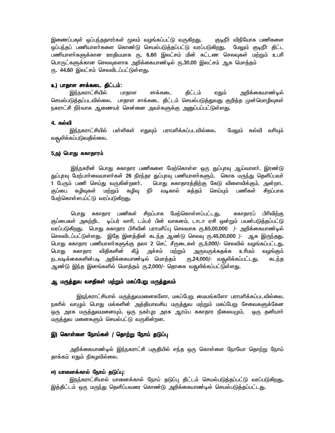*nizg;gf[s; xg;ge;jjhuu;fs; }yk; tHA;fg;gl;L tUfpwJ. FoePh; tpepBahf gzpfis*  ஒப்பந்தப் பணியாளா்களை கொண்டு செயல்படுத்தப்பட்டு வரப்படுகிறது**.** மேலும் குடிநீா் திட்ட பணியாளா்களுக்கான ஊதியமாக ர<mark>ு. 6.60</mark> இலட்சம் மின் கட்டண செலவுகள் மற்றும் உபாி பொருட்களுக்கான செலவுகளாக அறிக்கையாண்டில் ரு.30.00 இலட்சம் ஆக மொத்தம் ரு. 44.60 இலட்சம் செலவிடப்பட்டுள்ளது.

#### *c) ghjhs rhf;fil jpl;lk;: ghjhs rhf;fil*

இந்நகராட்சியில் பாதாள சாக்கடை திட்டம் ஏதும் அறிக்கையாண்டில் செயல்படுத்தப்படவில்லை. பாதாள சாக்கடை திட்டம் செயல்படுத்துவது குறித்த முன்மொழிவுகள் நகராட்சி நிர்வாக ஆணையர் சென்னை அவா்களுக்கு <u>அன</u>ுப்பப்பட்டுள்ளது**.** 

#### **4. கல்வி**

இந்நகராட்சியில் பள்ளிகள் எதுவும் பராமரிக்கப்படவில்லை**.** மேலும் கல்வி வரியும் வதூலிக்கப்படுவதில்லை.

#### 5அ) பொது சுகாதாரம்

இந்நகரின் பொது சுகாதார பணிகளை மேற்கொள்ள ஒரு துப்புரவு ஆய்வாளா், இரண்டு துப்புரவு மேற்பாா்வையாளா்கள் 26 நிரந்தர துப்புரவு பணியாளா்களும், கொசு மருந்து தெளிப்பவா் 1 பேரும் பணி செய்து வருகின்றனா். மொது சுகாதாரத்திற்கு கேடு விளைவிக்கும், அன்றாட குப்பை கழிவுகள் மற்றும் கழிவு நீா் வடிகால் சுத்தம் செய்யும் பணிகள் சிறப்பாக *Bkw;bfhs;sgg;l;L tug;gLfpwJ.* 

பொது சுகாதார பணிகள் சிறப்பாக மேற்கொள்ளப்பட்டது**.** சுகாதாரப் பிரிவிற்கு குப்பைகள் அகற்றிட டிப்பர் லாாி, டம்பர் பின் வாகனம், டாடா ஏசி ஒன்றும் பயன்படுத்தப்பட்டு வரப்படுகிறது**.** பொது சுகாதார பிரிவின் பராமரிப்பு செலவாக ரூ**.65,00,000 /- அறிக்கையாண்டில்** செலவிடப்பட்டுள்ளது. இதே இனத்தின் கடந்த ஆண்டு செலவு ரூ.45,00,000 /- ஆக இருந்தது. பொது சுகாதார பணியாளா்களுக்கு தலா 2 செட் சீருடைகள் ரூ**.5,000/- செலவில் வழங்கப்பட்டது.** பொது சுகாதார விதிகளின் கீழ் அச்சம் மற்றும் அருவருக்கதக்க உரிமம் வழங்கும் நடவடிக்கைகளின்படி அறிக்கையாண்டில் மொத்தம் ரூ.24,000/- வசூலிக்கப்பட்டது**.** கடந்த ஆண்டு இந்த இனங்களில் மொத்தம் ரூ.2,000/- தொகை வதூலிக்கப்பட்டுள்ளது**.** 

#### ஆ, மருத்துவ வசதிகள் மற்றும் மகப்பேறு மருத்துவம்

<u>இநந்</u>கராட்சியால் மருத்துவமனைகளோ, மகப்பேறு மையங்களோ பராமாிக்கப்படவில்லை. நகரில் வாழும் பொது மக்களின் அத்தியாவசிய மருத்துவ மற்றும் மகப்பேறு சேவைகளுக்கேன ஒரு அரசு மருத்துவமனையும், ஒரு நகர்புற அரசு ஆரம்ப சுகாதார நிலையமும், ஒரு தனியாா் மருத்துவ மனைகளும் செயல்பட்டு வருகின்றன**.** 

#### *n) bfhs;is Beha;fs; / bjhw;W Beha; jLg;g[ bjhw;W Beha; jLg;g[*

அறிக்கையாண்டில் இந்நகராட்சி பகுதியில் எந்த ஒரு கொள்ளை நோயோ தொற்று நோய் தாக்கம் ஏதும் நிகழவில்லை.

#### *N) ahidf;fhy; Beha; jLg;g[: N) ahidf;fhy; jLg;g[:*

இநந்கராட்சியால் யானைக்கால் நோய் தடுப்பு திட்டம் செயல்படுத்தப்பட்டு வரப்படுகிறது**.** இத்திட்டம் ஒரு மருந்து தெளிப்பவரை கொண்டு அறிக்கையாண்டில் செயல்படுத்தப்பட்டது**.**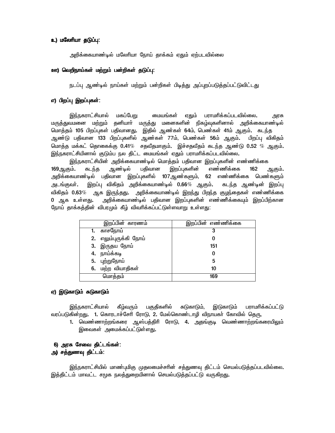# *c) kByhpah jLg;g[: jLg;g[:*

அறிக்்கையாண்டில் மலோியா நோய் தாக்கம் ஏதும் ஏற்படவில்லை

## **ஊ) வெறிநாய்கள் மற்றும் பன்றிகள் தடுப்பு:**

நடப்ப ஆண்டில் நாய்கள் மற்றும் பன்றிகள் பிடித்து அப்புறப்படுத்தப்பட்டுவிட்டது

## எ) பிறப்பு **இறப்புகள்:**

 *ne;efuhl;rpahy; kfg;BgW ikaA;fs; VJk; guhkhpf;fg;gltpy;iy. muR*  மருத்துவமனை மற்றும் தனியாா் மருத்து மனைகளின் நிகழ்வுகளினால் அறிக்கையாண்டில் மொத்தம் 105 பிறப்புகள் பதிவானது. இதில் ஆண்கள் 64ம், பெண்கள் 41ம் ஆகும். கடந்த ஆண்டு பதிவான 133 பிறப்புகளில் ஆண்கள் 77ம், பெண்கள் 56ம் ஆகும்**.** பிறப்பு விகிதம் *bkhj;j kf;fl; bjhiff;F 0.41*% *rjtPjkhFk;. nr;rjtPjk; fle;j Mz;L 0.52* % *MFk;.*  இந்நகராட்சியினால் குடும்ப நல திட்ட மையங்கள் ஏதும் பராமரிக்கப்படவில்லை**.** 

இந்நகராட்சியின் அறிக்கையாண்டில் மொத்தம் பதிவான இறப்புகளின் எண்ணிக்கை 169ஆகும்**.** கடந்த ஆண்டில் பதிவான இறப்புகளின் எண்ணிக்கை 162 ஆகும்**.** அறிக்கையாண்டில் பதிவான இறப்புகளில் 107ஆண்களும், 62 எண்ணிக்கை பெண்களும் *mlA;Fth;. nwg;g[ tpfpjk; mwpf;ifahz;oy; 0.66*% *MFk;. fle;j Mz;od; nwg;g[*  விகிதம்  $0.63\%$  ஆக இருந்தது. அறிக்கையாண்டில் இறந்து பிறந்த குழந்தைகள் எண்ணிக்கை 0 ஆக உள்ளது. அறிக்கையாண்டில் பதிவான இறப்புகளின் எண்ணிக்கையும் இறப்பிற்கான நோய் தாக்கத்தின் விபரமும் கீழ் விவரிக்கப்பட்டுள்ளவாறு உள்ளது:

| இறப்பின் காரணம்       | இறப்பின் எண்ணிக்கை |
|-----------------------|--------------------|
| 1. காசநோய்            | 3                  |
| 2. எலும்புருக்கி நோய் |                    |
| 3. இருதய நோய்         | 151                |
| 4. நாய்க்கடி          |                    |
| 5. புற்றுநோய்         | 5                  |
| 6. மற்ற வியாதிகள்     | 10                 |
| மொத்தம்               | 169                |

#### ஏ) இடுகாடும் சுடுகாடும்

இந்நகராட்சியால் கீழ்வரும் பகுதிகளில் சுடுகாடும், இடுகாடும் பராமரிக்கப்பட்டு வரப்படுகின்றது**. 1.** கொரடாச்சேரி ரோடு, 2. மேல்கொண்டாழி விநாயகா் கோவில் தெரு,

1. வெண்ணாற்றங்கரை ஆஸ்பத்திரி ரோடு, 4. அதங்குடி வெண்ணாற்றங்கரையிலும் இவைகள் அமைக்கப்பட்டுள்ளது**.** 

# 6) அரசு சேவை திட்டங்கள்: அ) சத்துணவு திட்டம்:

இந்நகராட்சியில் மாண்புமிகு முதலமைச்சரின் சத்துணவு திட்டம் செயல்படுத்தப்படவில்லை. இத்திட்டம் மாவட்ட சமுக நலத்துறையினால் செயல்படுத்தப்பட்டு வருக<u>ிறது</u>.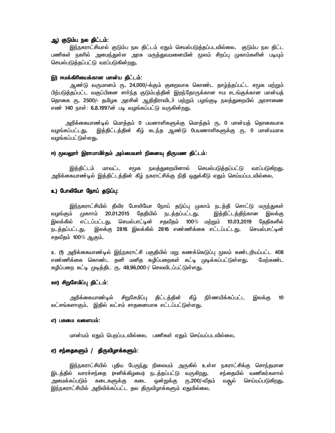# ஆ) குடும்ப நல திட்டம்:

<u>இந்ந</u>கராட்சியால் குடும்ப நல திட்டம் ஏதும் செயல்படுத்தப்படவில்லை. குடும்ப நல திட்ட பணிகள் நகரில் அமைந்துள்ள அரசு மருத்துவமனையின் முலம் சிறப்பு முகாம்களின் படியும் செயல்படுத்தப்பட்டு வரப்படுகின்<u>றது.</u>

#### *n) Nkf;fphpiaf;fhd khd;a jpl;lk;: Nkf;fphpiaf;fhd khd;a jpl;lk;:*

 *Mz;L tUkhdk; \. 24,000/-f;Fk; Fiwthf bfhz;l jhH;j;jg;gl;l r}f kw;Wk;*  பிற்படுத்தப்பட்ட வகுப்பினை சாா்ந்த குடும்பத்தின் இறந்தோருக்கான ஈம சடங்குக்கான மான்யத் தொகை ர<mark>ு. 2500/- தமிழக அரசின் ஆதிதிராவிடர் மற்றும் பழங்கு</mark>டி நலத்துறையில் அரசாணை எண் 140 நாள்: 6**.8.1997ன் படி வழங்கப்பட்டு வருகின்றது.** 

அறிக்கையாண்டில் மொத்தம் 0 பயனாளிகளுக்கு மொத்தம் ரூ. 0 மான்யத் தொகையாக வழங்கப்பட்டது. இத்திட்டத்தின் கீழ் கடந்த ஆண்டு 0பயணாளிகளுக்கு ரு. 0 மான்யமாக வழங்கப்பட்டுள்ளது**.** 

#### *N) }tYhh; nuhkhkph;jk; mk;ikahh; epidt[ jpUkz jpl;lk N) }tYhh; nuhkhkph;jk; mk;ikahh; epidt[ jpUkz jpl;lk;: h;jk; jpUkz jpl;lk;:*

இத்திட்டம் மாவட்ட சமூக நலத்துறையினால் செயல்படுத்தப்பட்டு வரப்படுகி<u>றது</u>. அறிக்கையாண்டில் இத்திட்டத்தின் கீழ் நகராட்சிக்கு நிதி ஒதுக்கீடு ஏதும் செய்யப்படவில்லை**.** 

### **உ) போலியோ நோய் தடுப்பு:**

<u>இந்ந</u>கராட்சியில் தீவிர போலியோ நோய் தடுப்பு முகாம் நடத்தி சொட்டு மருந்துகள் வழங்கும் முகாாம் 20.01.2015 தேதியில் நடத்தப்பட்டது. இத்திட்டத்திற்கான இலக்கு *nyf;fpy; vl;lg;gl;lJ. bray;ghl;od; rjtPjk; 100*% *kw;Wk; 10.03.2019 Bjjpfspy;*  நடத்தப்பட்டது. இலக்கு 2816 இலக்கில் 2816 எண்ணிக்கை எட்டப்பட்டது. செயல்பாட்டின் *rjtPjk; 100*% *MFk;.* 

உ (1) அறிக்கையாண்டில் இந்நகராட்சி பகுதியில் மறு கணக்கெடுப்பு முலம் கண்டறியப்பட்ட 408 எண்ணிக்கை கொண்ட தனி மனித கழிப்பறைகள் கட்டி முடிக்கப்பட்டுள்ளது**.** மேற்கண்ட கழிப்பறை கட்டி முடித்திட ரு. 48,96,000*-*/ செலவிடப்பட்டுள்ளது.

#### **ஊ) சிறுசேமிப்பு திட்டம்:**

அறிக்கையாண்டில் சிறுசேமிப்பு திட்டத்தின் கீழ் நிர்ணயிக்கப்பட்ட இலக்கு 10 லட்சங்களாகும். இதில் லட்சம் சாதனையாக எட்டப்பட்டுள்ளது.

#### *v) gRik tisak;:*

 *khd;ak; VJk; bgwg;gltpy;iy. gzpfs; VJk; bra;ag;gltpy;iy.* 

# ஏ) சந்தைகளும் / திருவிழாக்களும்:

<u>இந்ந</u>கராட்சியில் புதிய பேருந்து நிலையம் அருகில் உள்ள நகராட்சிக்கு சொந்தமான இடத்தில் வாரச்சந்தை (சனிக்கிழமை) நடத்தப்பட்டு வருகிறது. சந்தையில் வணிகர்களால் அமைக்கப்படும் கடைகளுக்கு கடை ஒன்றுக்கு ரு.200/-வீதம் வசூல் செய்யப்படுகிறது**.** இந்நகராட்சியில் அறிவிக்கப்பட்ட தல திருவிழாக்களும் ஏதுமில்லை**.**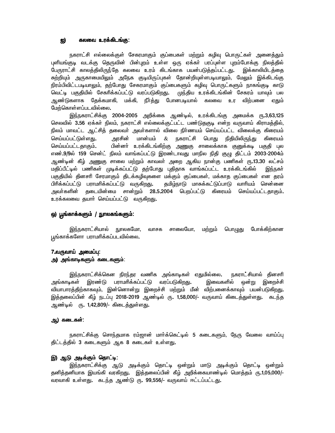#### *I) fyit cuf;fplA;F: fyit cuf;fplA;F:*

நகராட்சி எல்லைக்குள் சேகரமாகும் குப்பைகள் மற்றும் கழிவு பொருட்கள் அனைத்தும் புளியங்குடி வடக்கு தெருவின் பின்புறம் உள்ள ஒரு ஏக்கா் பரப்புள்ள புறம்போக்கு நிலத்தில் பேருராட்சி காலத்திலிருந்தே கலவை உரம் கிடங்காக பயன்படுத்தப்பட்டது**.** இக்காலியிடத்தை சுற்றியும் அருகாமையிலும் அநேக குடியிருப்புகள் தோன்றியுள்ளபடியாலும், மேலும் இக்கிடங்கு நிரம்பிவிட்டபடியாலும், தற்போது சேகரமாகும் குப்பைகளும் கழிவு பொருட்களும் நாகங்குடி காடு வெட்டி பகுதியில் சேகரிக்கப்பட்டு வரப்படுகிறது**.** முந்திய உரக்கிடங்கின் சேகரம் யாவும் பல அண்டுகளாக கேக்கமாகி, மக்கி, நீர்க்கு போனபடியால் கலவை உர வி**ற்பனை எ**தும் மேற்கொள்ளப்படவில்லை.

இந்நகராட்சிக்கு 2004-2005 அறிக்கை ஆண்டில், உரக்கிடங்கு அமைக்க ரூ.3,63,125 .<br>செலவில் 3**.**56 ஏக்கா் நிலம், நகராட்சி எல்லைக்குட்பட்ட பண்டுதகுடி என்ற வருவாய் கிராமத்தில், நிலம் மாவட்ட ஆட்சித் தலைவா் அவா்களால் விலை நிா்ணயம் செய்யப்பட்ட விலைக்கு கிரையம் *bra;ag;gl;Ls;sJ. murpd; khd;ak;* & *efuhl;rp bghJ epjpapypUe;J fpiuak;*  செய்யப்பட்டதாகும்**.** பின்னா் உரக்கிடங்கிற்கு அணுகு சாலைக்காக குனுக்கடி பகுதி புல எண்.9/9ல் 159 சென்ட் நிலம் வாங்கப்பட்டு இரண்டாவது மாநில நிதி குழு திட்டம் 2003-2004ம் ஆண்டின் கீழ் <u>அணுகு</u> சாலை மற்றும் காவலா் அறை ஆகிய நான்கு பணிகள் ரூ**.13.30 லட்சம்** மதிப்பீட்டில் பணிகள் முடிக்கப்பட்டு தற்போது புதிதாக வாங்கப்பட்ட உரக்கிடங்கில் இந்நகா் பகுதியில் தினசாி சேரமாகும் திடக்கழிவுகளை மக்கும் குப்பைகள், மக்காத குப்பைகள் என தரம் பிரிக்கப்பட்டு பராமரிக்கப்பட்டு வருகிறது**.** தமிழ்நாடு மாசுக்கட்டுப்பாடு வாரியம் சென்னை அவா்களின் தடையின்மை சான்றும் 28**.5.2004 பெறப்பட்டு கிரையம் செய்யப்பட்ட**தாகும். உரக்கலவை தயாா் செய்யப்பட்டு வருக<u>ிறத</u>ு**.** 

#### *x) g{A;fhf;fSk; / EhyfA;fSk;: / EhyfA;fSk;:*

இந்நகராட்சியால் நூலகமோ, வாசக சாலையோ, மற்றும் பொழுது போக்கிற்கான பூங்காக்களோ பராமரிக்கப்படவில்லை.

# 7.வருவாய் அமைப்பு: **அ) அங்காடிகளும் கடைகளும்**:

<u>இந்ந</u>கராட்சிக்கென நிரந்தர வணிக அங்காடிகள் ஏதுமில்லை. நகராட்சியால் தினசரி அங்காடிகள் இரண்டு பராமரிக்கப்பட்டு வரப்படுகிறது. இவைகளில் ஒன்று இறைச்சி வியாபாரத்திற்காகவும், இன்னொன்று இறைச்சி மற்றும் மீன் விற்பனைக்காவும் பயன்படுகி<u>றது</u>. இத்தலைப்பின் கீழ் நடப்பு 2018-2019 ஆண்டில் ரு. 1,58,000/- வருவாய் கிடைத்துள்ளது. கடந்த <u>ஆண்டில் ரு. 1,42,809/- கிடைத்துள்ளது.</u>

### <u>அ</u>) கடைகள்:

நகராட்சிக்கு சொந்தமாக ரம்ஜான் மாா்க்கெட்டில் 5 கடைகளும், நேரு வேலை வாய்ப்பு திட்டத்தில் 3 கடைகளும் ஆக 8 கடைகள் உள்ளது.

## *n) ML mof;Fk; bjhl;o: mof;Fk; bjhl;o:*

இந்நகராட்சிக்கு ஆடு அடிக்கும் தொட்டி ஒன்றும் மாடு அடிக்கும் தொட்டி ஒன<u>்று</u>ம் *jdpj;jdpahf naA;fp tufpwJ. nj;jiyg;gpd; fPH; mwpf;ifahz;oy; bkhj;jk; U.1,05,000/-*  வரவாகி உள்ளது. கடந்த ஆண்டு ரு. 99,556/- வருவாய் ஈட்டப்பட்டது.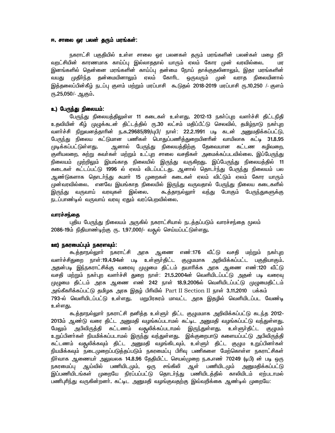#### *N. rhiy xu gyd; jUk; kuA;fs;: N. rhiy gyd; jUk; kuA;fs;:*

நகராட்சி பகுதியில் உள்ள சாலை ஓர பலனகள் தரும் மரங்களின் பலன்கள் மழை நீா் வறட்சியின் காரணமாக காய்ப்பு இல்லாததால் யாரும் ஏலம் கோர முன் வரவில்லை**.** மர இனங்களில் தென்னை மரங்களின் காய்ப்பு தன்மை நோய் தாக்குதலினாலும், இதர மரங்களின் வயது முதிா்ந்த தன்மையினாலும் ஏலம் கோாிட ஒருவரும் முன் வராத நிலையினால் *nj;jiyg;gpd;fPH; elg;g[ Fsk; kw;Wk; kug;ghrp TLjy; 2018-2019 kug;ghrp \.10,250* /- *Fsk;*   $\overline{m}$ .25,050/- ஆகும்.

#### *c) BgUe;J epiyak;:*

பேருந்து நிலையத்திலுள்ள 11 கடைகள் உள்ளது. 2012-13 நகா்ப்புற வளா்ச்சி திட்டநிதி உதவியின் கீழ் முழுக்கடன் திட்டத்தில் ரு.30 லட்சம் மதிப்பீட்டு செலவில், தமிழ்நாடு நகா்புற வளா்ச்சி நிறுவனத்தாாின் ந**.க.29685/89/யுபி/ நாள்: 22.2.1991 படி கடன்** அனுமதிக்கப்பட்டு, *BgUe;J epiya fl;Lkhd gzpfs; bghJg;gzpj;Jiwapdhpd; thapyhf fl;o 31.8.95*  முடிக்கப்பட்டுள்ளது**.** ஆனால் பேருந்து நிலையத்திற்கு தேவையான கட்டண கழிவறை, குளியலறை, சுற்று சுவா்கள் மற்றும் உட்புற சாலை வசதிகள் அமைக்கப்படவில்லை. இப்பேருந்து நிலையம் முற்றிலும் இயங்காத நிலையில் இருந்து வருகிறது**.** இப்பேருந்து நிலையத்தில் 11 கடைகள் கட்டப்பட்டு 1996 ல் ஏலம் விடப்பட்டது. ஆனால் தொடர்ந்து பேருந்து நிலையம் பல ஆண்டுகளாக தொடா்ந்து சுமாா் 15 முறைகள் கடைகள் ஏலம் விட்டும் ஏலம் கோர யாரும் முன்வரவில்லை. எனவே இயங்காத நிலையில் இருந்து வருவதால் பேருந்து நிலைய கடைகளில் இருந்து வருவாய் வரவுகள் இல்லை. கூத்தாநல்லுாா் வந்து போகும் பேருந்துகளுக்கு நடப்பாண்டில் வருவாய் வரவு ஏதும் வரப்பெறவில்லை**.** 

#### வாரச்சந்தை

புதிய பேருந்து நிலையம் அருகில் நகராட்சியால் நடத்தப்படும் வாரச்சந்தை மூலம் 2086-19ம் நிதியாண்டிற்கு ர<mark>ு. 1</mark>,97,000/- வதூல் செய்யப்பட்டுள்ளது**.** 

# **ஊ) நகரமைப்பும் நகரளவும்:**

கூத்தாநல்லுாா் நகராட்சி அரசு ஆணை எண்:176 வீட்டு வசதி மற்றும் நகா்புற வளா்ச்சிதுறை நாள்:19**.4.94ன் படி உள்ளுா்திட்ட குழுமமாக அறிவிக்கப்பட்ட** பகுதியாகும். அதன்படி இந்நகராட்சிக்கு வரைவு முழுமை திட்டம் தயாரிக்க அரசு ஆணை எண்:120 வீட்டு வசதி மற்றும் நகா்புற வளா்ச்சி துறை நாள்: 21.5.2004ன் வெளியிடப்பட்டு அதன் படி வரைவு முழுமை திட்டம் அரசு ஆணை எண் 242 நாள் 18.9.2006ல் வெளியிடப்பட்டு முழுமைதிட்டம் அங்கீகரிக்கப்பட்டு தமிழக அரசு இதழ் பிரிவில் Part II Section II நாள் **3.11.2010** பக்கம் 793-ல் வெளியிடப்பட்டு உள்ளது. மறுபிரசுரம் மாவட்ட அரசு இதழில் வெளியிடப்பட வேண்டி உள்ளகு.

 *Tj;jhey;Yhh; efuhl;rp jdpj;j cs;Sh; jpl;l FGkkhf mwptpf;fg;gl;L fle;j 2012-* 2013ம் ஆண்டு வரை திட்ட அனுமதி வழங்கப்படாமல் கட்டிட அனுமதி வழங்கப்பட்டு வந்துள்ளது**.** மேலும் அபிவிருத்தி கட்டணம் வதூலிக்கப்படாமல் இருந்துள்ளது**.** உள்ளுா்திட்ட குழுமம் உறுப்பினா்கள் நியமிக்கப்படாமல் இருந்து வந்துள்ளது**.** இக்குறைபாடு களையப்பட்டு அபிவிருத்தி கட்டணம் வதூலிக்கவும் திட்ட அனுமதி வழங்கிடவும், உள்ளுா் திட்ட குழும உறுப்பினா்கள் நியமிக்கவும் நடைமுறைப்படுத்தப்படும் நகரமைப்பு பிரிவு பணிகளை மேற்கொள்ள நகராட்சிகள் நிர்வாக ஆணையர் <u>அலு</u>வலக 14.8.96 தேதியிட்ட செயல்முறை ந.க.எண் 70249 (டிபி) ன் படி ஒரு நகரமைப்பு ஆய்வில் பணியிடமும், ஒரு சங்கிலி ஆள் பணியிடமும் அனுமதிக்கப்பட்டு இப்பணியிடங்கள் முறையே நிரப்பப்பட்டு தொடர்ந்து பணியிடத்தில் காலியிடம் ஏற்படாமல் பணிபுரிந்து வருகின்றனா். கட்டிட அனுமதி வழங்குவதற்கு இவ்வறிக்கை ஆண்டில் முறையே: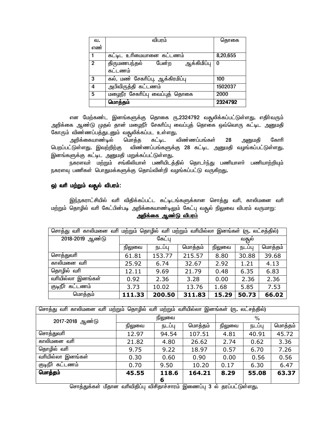| வ.             | விபரம்                               | தொகை     |
|----------------|--------------------------------------|----------|
| எண             |                                      |          |
|                | கட்டிட உரிமையானை கட்டணம்             | 8,20,655 |
| $\overline{2}$ | பேன்ற<br>ஆக்கிமிப்பு<br>திருமணபந்தல் | $\Omega$ |
|                | கட்டணம்                              |          |
| 3              | கல், மண் சேகாிப்பு, ஆக்கிரமிப்பு     | 100      |
| 4              | அபிவிருத்தி கட்டணம்                  | 1502037  |
| 5              | மழைநீர சேகரிப்பு வைப்புத் தொகை       | 2000     |
|                | மொத்தம்                              | 2324792  |

என மேற்கண்ட இனங்களுக்கு தொகை ரு.2324792 வதூலிக்கப்பட்டுள்ளது. எதிர்வரும் அறிக்கை ஆண்டு முதல் தான் மழைநீா் சேகாிப்பு வைப்புத் தொகை ஒவ்வொரு கட்டிட <u>அனு</u>மதி கோரும் விண்ணப்பத்துடனும் வசூலிக்கப்பட உள்ளது**.**<br>அறிக்கையாண்டில் மொத்த கட்டிட விண்ணப்பங்கள்

அறிக்கையாண்டில் மொத்த கட்டிட விண்ணப்பங்கள் 28 அனுமதி கோரி பெறப்பட்டுள்ளது. இவற்றிற்கு விண்ணப்பங்களுக்கு 28 கட்டிட அனுமதி வழங்கப்பட்டுள்ளது**.** இனங்களுக்கு கட்டிட அனுமதி மறுக்கப்பட்டுள்ளது**.** 

நகரளவா் மற்றும் சங்கிலியாள் பணியிடத்தில் தொடா்ந்து பணியாளா் பணியாற்றியும் நகரளவு பணிகள் பொதுமக்களுக்கு தொய்வின்றி வழங்கப்பட்டு வருகிறது**.** 

# *x) thp kw;Wk; tR{y; tpguk;: tpguk;:*

இந்நகராட்சியில் வரி விதிக்கப்பட்ட கட்டிடங்களுக்கான சொத்து வரி, காலிமனை வரி *kw;Wk; bjhHpy; thp Bfl;gpd;go mwpf;ifahz;oYk; Bfl;g[ tR{y; epYit tpguk; tUkhW:*  <u>அறிக்கை ஆண்டு விபரம்</u>

| மற்றும் தொழில் வரி மற்றும் வரியில்லா இனங்கள் (ரு. லட்சத்தில்)<br>சொத்து வரி காலிமனை வரி |                                        |                   |        |       |        |         |  |
|-----------------------------------------------------------------------------------------|----------------------------------------|-------------------|--------|-------|--------|---------|--|
| 2018-2019 ஆண்டு                                                                         |                                        | கேட்ப             |        |       | வதூல்  |         |  |
|                                                                                         | நிலுவை                                 | மொத்தம்<br>நடப்பு |        |       | நடப்பு | மொத்தம் |  |
| சொத்துவரி                                                                               | 61.81                                  | 153.77            | 215.57 | 8.80  | 30.88  | 39.68   |  |
| காலிமனை வரி                                                                             | 25.92                                  | 6.74              | 32.67  | 2.92  | 1.21   | 4.13    |  |
| தொழில் வரி                                                                              | 12.11                                  | 9.69              | 21.79  | 0.48  | 6.35   | 6.83    |  |
| வரியில்லா இனங்கள்                                                                       | 0.92                                   | 2.36              | 3.28   | 0.00  | 2.36   | 2.36    |  |
| குடிநீா்<br>கட்டணம்                                                                     | 5.85<br>3.73<br>10.02<br>13.76<br>1.68 |                   |        |       | 7.53   |         |  |
| மொத்தம்                                                                                 | 111.33                                 | 200.50            | 311.83 | 15.29 | 50.73  | 66.02   |  |

| வரியில்லா இனங்கள் (ரு. லட்சத்தில்)<br>சொத்து வாி காலிமனை வாி மற்றும் தொழில் வாி மற்றும் |        |        |         |        |        |         |
|-----------------------------------------------------------------------------------------|--------|--------|---------|--------|--------|---------|
| 2017-2018 ஆண்டு                                                                         | நிலுவை |        |         | %      |        |         |
|                                                                                         | நிலுவை | நடப்பு | மொத்தம் | நிலுவை | நடப்பு | மொத்தம் |
| சொத்துவரி                                                                               | 12.97  | 94.54  | 107.51  | 4.81   | 40.91  | 45.72   |
| காலிமனை வரி                                                                             | 21.82  | 4.80   | 26.62   | 2.74   | 0.62   | 3.36    |
| தொழில் வாி                                                                              | 9.75   | 9.22   | 18.97   | 0.57   | 6.70   | 7.26    |
| வாியில்லா இனங்கள்                                                                       | 0.30   | 0.60   | 0.90    | 0.00   | 0.56   | 0.56    |
| குடிநீா கட்டணம்                                                                         | 0.70   | 9.50   | 10.20   | 0.17   | 6.30   | 6.47    |
| மொத்தம்                                                                                 | 45.55  | 118.6  | 164.21  | 8.29   | 55.08  | 63.37   |
|                                                                                         |        | 6      |         |        |        |         |

சொத்துக்கள் மீதான வரிவிதிப்பு விசிதாச்சாரம் இணைப்பு 3 ல் தரப்பட்டுள்ளது.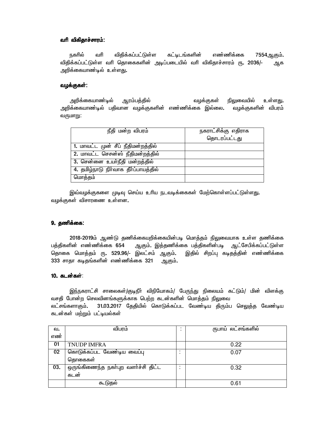## *thp tpfpjhr;rhuk;: thp tpfpjhr;rhuk;:*

நகரில் வரி விதிக்கப்பட்டுள்ள கட்டிடங்களின் எண்ணிக்கை 7554ஆகும்**.** விதிக்கப்பட்டுள்ள வாி தொகைகளின் அடிப்படையில் வாி விகிதாச்சாரம் ரு**. 2036/- ஆக** அறிக்கையாண்டில் உள்ளது.

# ்வழக்குகள்:

அறிக்கையாண்டில் ஆரம்பத்தில் வழக்குகள் நிலுவையில் உள்ள<u>து</u>. அறிக்்கையாண்டில் பதிவான வழக்குகளின் எண்ணிக்கை இல்லை**.** வழக்குகளின் விபரம் வருமாறு:

| நீதி மன்ற விபரம்                     | நகராட்சிக்கு எதிராக<br>தொடரப்பட்டது |
|--------------------------------------|-------------------------------------|
| 1. மாவட்ட முன் சீப் நீதிமன்றத்தில்   |                                     |
| 2. மாவட்ட செசன்ஸ் நீதிமன்றத்தில்     |                                     |
| 3. சென்னை உயாநீதி மன்றத்தில்         |                                     |
| 4. தமிழ்நாடு நிர்வாக தீர்ப்பாயத்தில் |                                     |
| மொத்தம்                              |                                     |

இவ்வழக்குகளை முடிவு செய்ய உரிய நடவடிக்கைகள் மேற்கொள்ளப்பட்டுள்ளது. வழக்குகள் விசாரணை உள்ளன.

# 9. தணிக்கை:

2018-2019ம் ஆண்டு தணிக்கையறிக்கையின்படி மொத்தம் நிலுவையாக உள்ள தணிக்கை<br>பத்திகளின் எண்ணிக்கை 654 ஆகும். இத்தணிக்கை பத்திகளின்படி ஆட்சேபிக்கப்பட்டுள்ள ஆகும். இத்தணிக்கை பத்திகளின்படி ஆட்சேபிக்கப்பட்டுள்ள தொகை மொத்தம் ரு. 529.96/- இலட்சம் ஆகும். இதில் சிறப்பு கடிதத்தின் எண்ணிக்கை 333 சாதா கடிதங்களின் எண்ணிக்கை 321 ஆகும்.

# 10. கடன்கள்:

இந்நகராட்சி சாலைகள்/குடிநீா் விநியோகம்/ பேருந்து நிலையம் கட்டும்/ மின் விளக்கு வசதி போன்ற செலவினங்களுக்காக பெற்ற கடன்களின் மொத்தம் நிலுவை லட்சங்களாகும்**.** 31.03.2017 தேதியில் கொடுக்கப்பட வேண்டிய திரும்ப செலுத்த வேண்டிய *fld;fs; kw;Wk; gl;oay;fs;* 

| ഖ.  | விபரம்                             |        | ருபாய் லட்சங்களில் |
|-----|------------------------------------|--------|--------------------|
| எண் |                                    |        |                    |
| 01  | <b>TNUDP IMFRA</b>                 |        | 0.22               |
| 02  | கொடுக்கப்பட வேண்டிய வைப்பு         | ٠<br>٠ | 0.07               |
|     | தொகைகள்                            |        |                    |
| 03. | ஒருங்கிணைந்த நகா்புற வளாச்சி திட்ட |        | 0.32               |
|     | கடன                                |        |                    |
|     | கூடுதல்                            |        | 0.61               |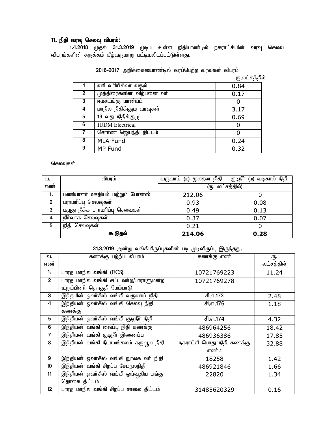# 11. நிதி வரவு செலவு விபரம்:

1.4.2018 முதல் 31.3.2019 முடிய உள்ள நிதியாண்டில் நகராட்சியின் வரவு செலவு ் விபரங்களின் சுருக்கம் கீழ்வருமாறு பட்டியலிடப்பட்டுள்ளது**.** 

|                | வரி வரியில்லா வதூல்       | 0.84 |  |
|----------------|---------------------------|------|--|
| $\overline{2}$ | முத்திரைகளின் விற்பனை வரி | 0.17 |  |
| 3              | ஈமசடங்கு மான்யம்          |      |  |
| 4              | மாநில நிதிக்குழு வரவுகள்  | 3.17 |  |
| 5              | 13 வது நிதிக்குழு         | 0.69 |  |
| 6              | <b>IUDM</b> Electrical    |      |  |
| 7              | சொா்ண ஜெயந்தி திட்டம்     |      |  |
| 8              | <b>MLA Fund</b>           | 0.24 |  |
| 9              | MP Fund                   | 0.32 |  |

| <u>2016-2017 அறிக்கையைாண்டில் வரப்பெற்ற வரவுகள் விபரம்</u> |  |  |
|------------------------------------------------------------|--|--|
|                                                            |  |  |

 $\ell$ ந $\bm{r}_i$ லட்சத்தில்

# *bryt[fs;*

| வ.  | விபரம்                          | வருவாய் (ம) மூலதன நிதி | குடிநீா் (ம) வடிகால் நிதி |  |
|-----|---------------------------------|------------------------|---------------------------|--|
| எண் |                                 | (ரு. லட்சத்தில்)       |                           |  |
| 1.  | பணியாளா் ஊதியம் மற்றும் போனஸ்   | 212.06                 |                           |  |
| 2   | பராமாிப்பு செலவுகள்             | 0.93                   | 0.08                      |  |
| 3   | பழுது நீக்க பராமரிப்பு செலவுகள் | 0.49                   | 0.13                      |  |
| 4   | நிா்வாக செலவுகள்                | 0.37                   | 0.07                      |  |
| 5   | நிதி செலவுகள்                   | 0.21                   |                           |  |
|     | கூடுதல்                         | 214.06                 | 0.28                      |  |

# 31.3.2019 அன்று வங்கியிருப்புகளின் படி முடிவிருப்பு இருந்தது.

| வ.             | கணக்கு பற்றிய விபரம்                                | கணக்கு எண்                | ரு.        |
|----------------|-----------------------------------------------------|---------------------------|------------|
| எண்            |                                                     |                           | லட்சத்தில் |
| 1.             | பாரத மாநில வங்கி (ECS)                              | 10721769223               | 11.24      |
| $2^{\circ}$    | பாரத மாநில வங்கி சட்டமன்ற/பாராளுமன்ற<br>10721769278 |                           |            |
|                | உறுப்பினா் தொகுதி மேம்பாடு                          |                           |            |
| 3              | இந்தயின் ஓவா்சீஸ் வங்கி வருவாய் நிதி                | சி.எ.173                  | 2.48       |
| 4              | இந்தியன் ஓவா்சீஸ் வங்கி செலவு நிதி<br>சி.எ.176      |                           | 1.18       |
|                | கணக்கு                                              |                           |            |
| 5              | <u>இந்தியன் ஓவா்சீஸ் வங்கி குடிநீா் நிதி</u>        | சி.எ.174                  | 4.32       |
| 6              | <u>இந்தியன் வங்கி வைப்பு நிதி கணக்கு</u>            | 486964256                 | 18.42      |
| $\overline{7}$ | இந்தியன் வங்கி குடிநீா் இணைப்பு                     | 486936386                 | 17.85      |
| 8              | இந்தியன் வங்கி நீடாமங்கலம் கருவூல நிதி              | நகராட்சி பொது நிதி கணக்கு | 32.88      |
|                |                                                     | எண்.1                     |            |
| 9              | இந்தியன் ஓவா்சீஸ் வங்கி நுாலக வாி நிதி              | 18258                     | 1.42       |
| 10             | இந்தியன் வங்கி சிறப்பு சேமநலநிதி                    | 486921846                 | 1.66       |
| 11             | இந்தியன் ஒவா்சீஸ் வங்கி ஓய்வூதிய பங்கு              | 22820                     | 1.34       |
|                | தொகை திட்டம்                                        |                           |            |
| 12             | பாரத மாநில வங்கி சிறப்பு சாலை திட்டம்               | 31485620329               | 0.16       |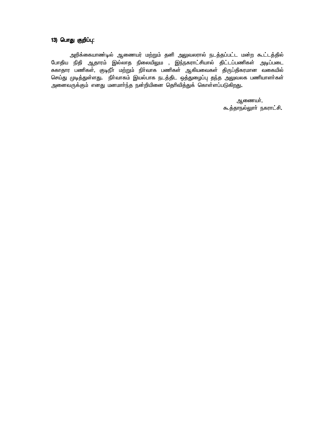# *13) bghJ Fwpg;g[: 13) bghJ Fwpg;g[:*

அறிக்கையாண்டில் ஆணையர் மற்றும் தனி அலுவலரால் நடத்தப்பட்ட மன்ற கூட்டத்தில் போதிய நிதி ஆதாரம் இல்லாத நிலையிலும<sup>்</sup>, இந்நகராட்சியால் திட்டப்பணிகள் அடிப்படை சுகாதார பணிகள், குடிநீா் மற்றும் நிா்வாக பணிகள் ஆகியவைகள் திருப்திகரமான வகையில் *bra;J Koj;Js;sJ. eph;thfk; nay;ghf elj;jpl xj;JiHg;g[ je;j mYtyf gzpahsh;fs; midtUf;Fk; vdJ kdkhh;e;j ed;wpapid bjhptpj;Jf; bfhs;sg;gLfpwJ.* 

> ஆணையா், கூத்தாநல்லுாா் நகராட்சி**.**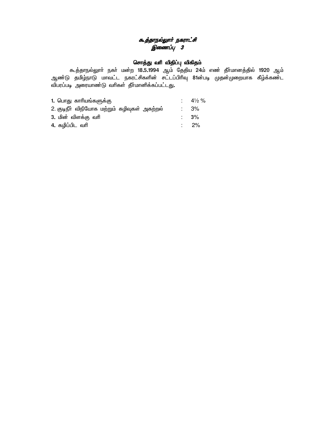# *கூத்தாநல்லூர் நகராட்சி* ்*இணைப்பு 3*

# &சாத்து வரி விதிப்பு விகிதம்

கூத்தாநல்லுாா் நகா் மன்ற 18**.5.1994 ஆம் தேதிய 24ம் எண் தீாமானத்தில்** 1920 ஆம் ஆண்டு தமிழ்நாடு மாவட்ட நகரட்சிகளின் சட்டப்பிரிவு 81ன்படி முதன்முறையாக கீழ்க்கண்ட *tpgug;go miuahz;L thpfs; jPh;khdpf;fg;gl;lJ.* 

| 1. பொது காரியங்களுக்கு                       | : $4\frac{1}{2}\%$ |
|----------------------------------------------|--------------------|
| 2. குடிநீா் விநியோக மற்றும் கழிவுகள் அகற்றல் | : 3%               |
| 3. மின் விளக்கு வரி                          | $\therefore$ 3%    |
| 4. கழிப்பிட வரி                              | :  2%              |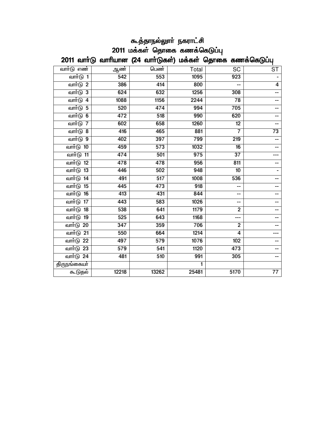| கூத்தாநல்லூா் நகராட்சி                                      |  |  |  |  |  |
|-------------------------------------------------------------|--|--|--|--|--|
| 2011 மக்கள் தொகை கணக்கெடுப்பு                               |  |  |  |  |  |
| 2011 வாா்டு வாாியான (24 வாா்டுகள்) மக்கள் தொகை கணக்கெடுப்பு |  |  |  |  |  |

| வாா்டு எண்       | ஆண்              | பெண்             | Total            | SC                       | ST                       |
|------------------|------------------|------------------|------------------|--------------------------|--------------------------|
| வார்டு 1         | 542              | 553              | 1095             | 923                      |                          |
| வார்டு 2         | 386              | 414              | 800              |                          | $\overline{4}$           |
| வார்டு 3         | 624              | 632              | 1256             | 308                      | $-$                      |
| வார்டு 4         | 1088             | 1156             | 2244             | 78                       | --                       |
| <u>வார்டு</u> 5  | 520              | 474              | 994              | 705                      | --                       |
| வாா்டு 6         | 472              | 518              | 990              | 620                      | --                       |
| வார்டு 7         | 602              | 658              | 1260             | 12                       | --                       |
| வார்டு 8         | 416              | 465              | 881              | 7                        | $\overline{73}$          |
| வார்டு 9         | 402              | $\overline{397}$ | 799              | $\overline{219}$         | $\overline{\phantom{a}}$ |
| வாா்டு 10        | 459              | 573              | 1032             | 16                       |                          |
| வார்டு 11        | 474              | 501              | 975              | $\overline{37}$          |                          |
| வாா்டு 12        | 478              | 478              | 956              | 811                      | --                       |
| வாா்டு 13        | 446              | 502              | 948              | $\overline{10}$          |                          |
| வார்டு 14        | 491              | 517              | 1008             | 536                      | --                       |
| வார்டு 15        | 445              | 473              | $\overline{918}$ |                          | --                       |
| வார்டு <b>16</b> | 413              | 431              | 844              | $-$                      | --                       |
| வார்டு 17        | 443              | 583              | 1026             | $\overline{\phantom{a}}$ | --                       |
| வார்டு 18        | 538              | 641              | 1179             | $\overline{2}$           | --                       |
| வார்டு 19        | 525              | 643              | 1168             | ---                      | --                       |
| <u>வார்டு 20</u> | $\overline{347}$ | 359              | 706              | $\overline{2}$           |                          |
| வார்டு 21        | 550              | 664              | 1214             | 4                        |                          |
| வாா்டு 22        | 497              | $\overline{579}$ | 1076             | 102                      | --                       |
| வார்டு 23        | 579              | 541              | 1120             | 473                      | --                       |
| வார்டு 24        | 481              | 510              | 991              | 305                      | --                       |
| திருநங்கையா்     |                  |                  | 1                |                          |                          |
| கூடுதல்          | 12218            | 13262            | 25481            | 5170                     | $\overline{77}$          |